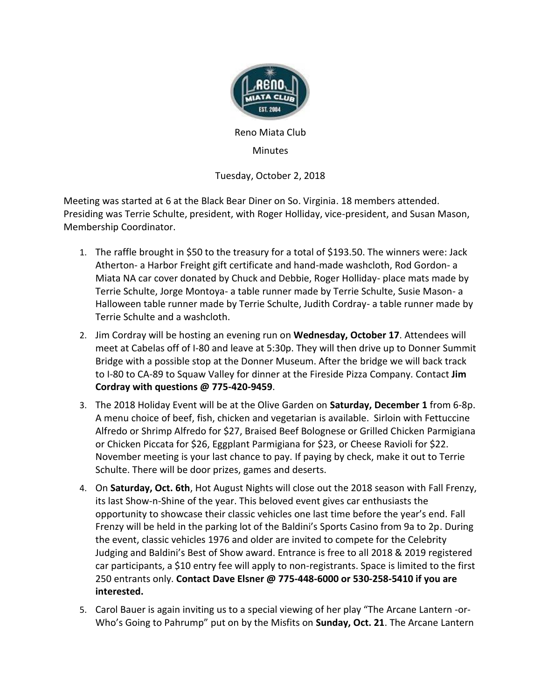

Reno Miata Club

Minutes

Tuesday, October 2, 2018

Meeting was started at 6 at the Black Bear Diner on So. Virginia. 18 members attended. Presiding was Terrie Schulte, president, with Roger Holliday, vice-president, and Susan Mason, Membership Coordinator.

- 1. The raffle brought in \$50 to the treasury for a total of \$193.50. The winners were: Jack Atherton- a Harbor Freight gift certificate and hand-made washcloth, Rod Gordon- a Miata NA car cover donated by Chuck and Debbie, Roger Holliday- place mats made by Terrie Schulte, Jorge Montoya- a table runner made by Terrie Schulte, Susie Mason- a Halloween table runner made by Terrie Schulte, Judith Cordray- a table runner made by Terrie Schulte and a washcloth.
- 2. Jim Cordray will be hosting an evening run on **Wednesday, October 17**. Attendees will meet at Cabelas off of I-80 and leave at 5:30p. They will then drive up to Donner Summit Bridge with a possible stop at the Donner Museum. After the bridge we will back track to I-80 to CA-89 to Squaw Valley for dinner at the Fireside Pizza Company. Contact **Jim Cordray with questions @ 775-420-9459**.
- 3. The 2018 Holiday Event will be at the Olive Garden on **Saturday, December 1** from 6-8p. A menu choice of beef, fish, chicken and vegetarian is available. Sirloin with Fettuccine Alfredo or Shrimp Alfredo for \$27, Braised Beef Bolognese or Grilled Chicken Parmigiana or Chicken Piccata for \$26, Eggplant Parmigiana for \$23, or Cheese Ravioli for \$22. November meeting is your last chance to pay. If paying by check, make it out to Terrie Schulte. There will be door prizes, games and deserts.
- 4. On **Saturday, Oct. 6th**, Hot August Nights will close out the 2018 season with Fall Frenzy, its last Show-n-Shine of the year. This beloved event gives car enthusiasts the opportunity to showcase their classic vehicles one last time before the year's end. Fall Frenzy will be held in the parking lot of the Baldini's Sports Casino from 9a to 2p. During the event, classic vehicles 1976 and older are invited to compete for the Celebrity Judging and Baldini's Best of Show award. Entrance is free to all 2018 & 2019 registered car participants, a \$10 entry fee will apply to non-registrants. Space is limited to the first 250 entrants only. **Contact Dave Elsner @ 775-448-6000 or 530-258-5410 if you are interested.**
- 5. Carol Bauer is again inviting us to a special viewing of her play "The Arcane Lantern -or-Who's Going to Pahrump" put on by the Misfits on **Sunday, Oct. 21**. The Arcane Lantern